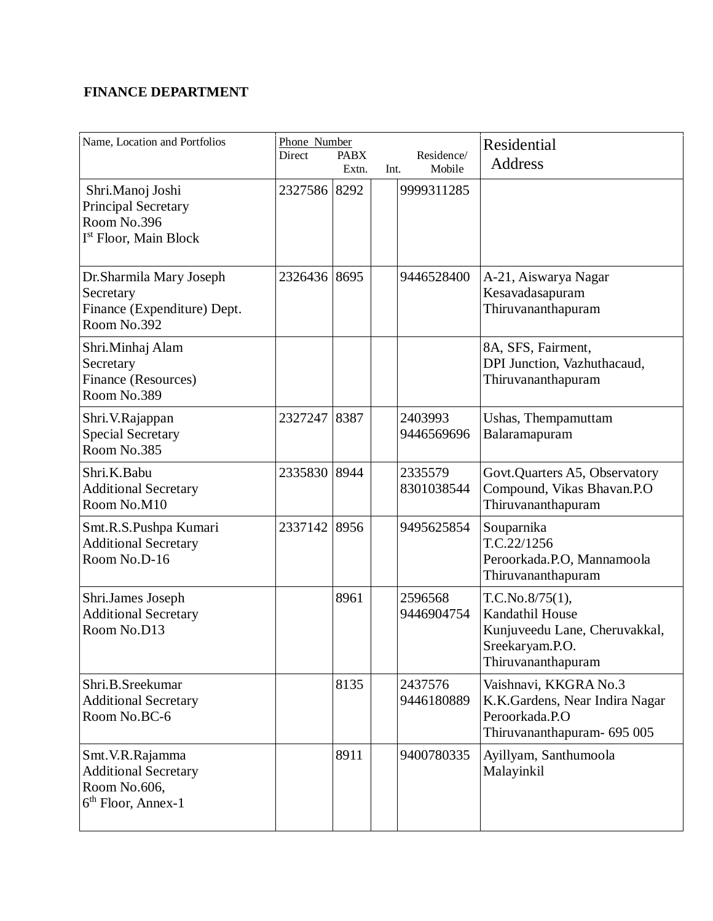## **FINANCE DEPARTMENT**

| Name, Location and Portfolios                                                                      | Phone Number<br>Direct | <b>PABX</b><br>Extn. | Int. | Residence/<br>Mobile  | Residential<br><b>Address</b>                                                                                |
|----------------------------------------------------------------------------------------------------|------------------------|----------------------|------|-----------------------|--------------------------------------------------------------------------------------------------------------|
| Shri.Manoj Joshi<br><b>Principal Secretary</b><br>Room No.396<br>I <sup>st</sup> Floor, Main Block | 2327586 8292           |                      |      | 9999311285            |                                                                                                              |
| Dr.Sharmila Mary Joseph<br>Secretary<br>Finance (Expenditure) Dept.<br>Room No.392                 | 2326436 8695           |                      |      | 9446528400            | A-21, Aiswarya Nagar<br>Kesavadasapuram<br>Thiruvananthapuram                                                |
| Shri.Minhaj Alam<br>Secretary<br>Finance (Resources)<br>Room No.389                                |                        |                      |      |                       | 8A, SFS, Fairment,<br>DPI Junction, Vazhuthacaud,<br>Thiruvananthapuram                                      |
| Shri.V.Rajappan<br><b>Special Secretary</b><br>Room No.385                                         | 2327247                | 8387                 |      | 2403993<br>9446569696 | Ushas, Thempamuttam<br>Balaramapuram                                                                         |
| Shri.K.Babu<br><b>Additional Secretary</b><br>Room No.M10                                          | 2335830 8944           |                      |      | 2335579<br>8301038544 | Govt.Quarters A5, Observatory<br>Compound, Vikas Bhavan.P.O<br>Thiruvananthapuram                            |
| Smt.R.S.Pushpa Kumari<br><b>Additional Secretary</b><br>Room No.D-16                               | 2337142 8956           |                      |      | 9495625854            | Souparnika<br>T.C.22/1256<br>Peroorkada.P.O, Mannamoola<br>Thiruvananthapuram                                |
| Shri.James Joseph<br><b>Additional Secretary</b><br>Room No.D13                                    |                        | 8961                 |      | 2596568<br>9446904754 | T.C.No.8/75(1),<br>Kandathil House<br>Kunjuveedu Lane, Cheruvakkal,<br>Sreekaryam.P.O.<br>Thiruvananthapuram |
| Shri.B.Sreekumar<br><b>Additional Secretary</b><br>Room No.BC-6                                    |                        | 8135                 |      | 2437576<br>9446180889 | Vaishnavi, KKGRA No.3<br>K.K.Gardens, Near Indira Nagar<br>Peroorkada.P.O<br>Thiruvananthapuram- 695 005     |
| Smt. V.R. Rajamma<br><b>Additional Secretary</b><br>Room No.606,<br>6 <sup>th</sup> Floor, Annex-1 |                        | 8911                 |      | 9400780335            | Ayillyam, Santhumoola<br>Malayinkil                                                                          |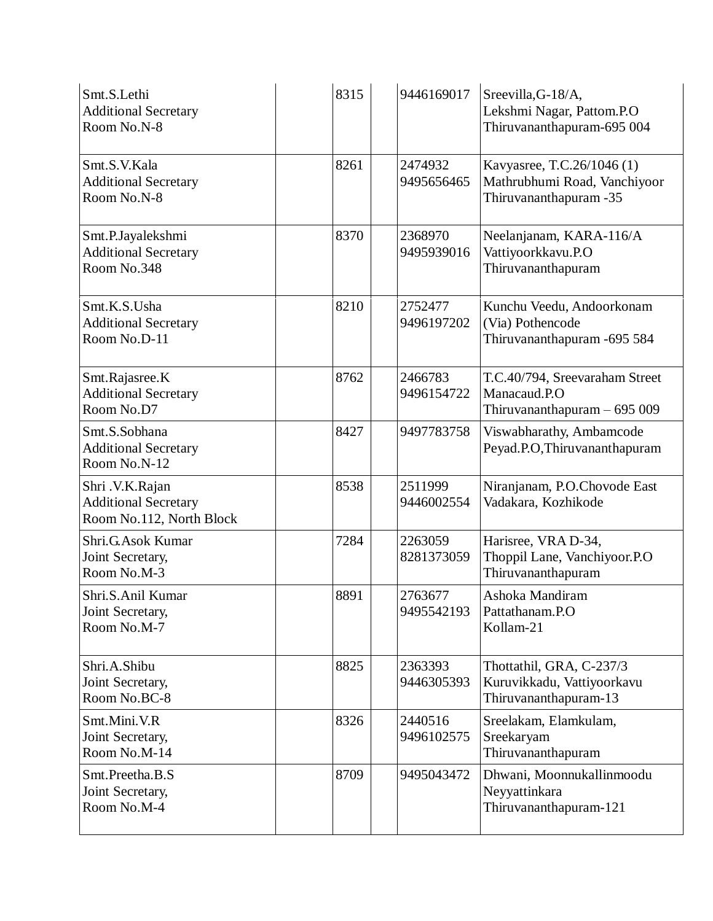| Smt.S.Lethi<br><b>Additional Secretary</b><br>Room No.N-8                  | 8315 | 9446169017            | Sreevilla, G-18/A,<br>Lekshmi Nagar, Pattom.P.O<br>Thiruvananthapuram-695 004        |
|----------------------------------------------------------------------------|------|-----------------------|--------------------------------------------------------------------------------------|
| Smt.S.V.Kala<br><b>Additional Secretary</b><br>Room No.N-8                 | 8261 | 2474932<br>9495656465 | Kavyasree, T.C.26/1046 (1)<br>Mathrubhumi Road, Vanchiyoor<br>Thiruvananthapuram -35 |
| Smt.P.Jayalekshmi<br><b>Additional Secretary</b><br>Room No.348            | 8370 | 2368970<br>9495939016 | Neelanjanam, KARA-116/A<br>Vattiyoorkkavu.P.O<br>Thiruvananthapuram                  |
| Smt.K.S.Usha<br><b>Additional Secretary</b><br>Room No.D-11                | 8210 | 2752477<br>9496197202 | Kunchu Veedu, Andoorkonam<br>(Via) Pothencode<br>Thiruvananthapuram - 695 584        |
| Smt.Rajasree.K<br><b>Additional Secretary</b><br>Room No.D7                | 8762 | 2466783<br>9496154722 | T.C.40/794, Sreevaraham Street<br>Manacaud.P.O<br>Thiruvananthapuram $-695009$       |
| Smt.S.Sobhana<br><b>Additional Secretary</b><br>Room No.N-12               | 8427 | 9497783758            | Viswabharathy, Ambamcode<br>Peyad.P.O, Thiruvananthapuram                            |
| Shri .V.K.Rajan<br><b>Additional Secretary</b><br>Room No.112, North Block | 8538 | 2511999<br>9446002554 | Niranjanam, P.O.Chovode East<br>Vadakara, Kozhikode                                  |
| Shri.G.Asok Kumar<br>Joint Secretary,<br>Room No.M-3                       | 7284 | 2263059<br>8281373059 | Harisree, VRA D-34,<br>Thoppil Lane, Vanchiyoor.P.O<br>Thiruvananthapuram            |
| Shri.S.Anil Kumar<br>Joint Secretary,<br>Room No.M-7                       | 8891 | 2763677<br>9495542193 | Ashoka Mandiram<br>Pattathanam.P.O<br>Kollam-21                                      |
| Shri.A.Shibu<br>Joint Secretary,<br>Room No.BC-8                           | 8825 | 2363393<br>9446305393 | Thottathil, GRA, C-237/3<br>Kuruvikkadu, Vattiyoorkavu<br>Thiruvananthapuram-13      |
| Smt.Mini.V.R<br>Joint Secretary,<br>Room No.M-14                           | 8326 | 2440516<br>9496102575 | Sreelakam, Elamkulam,<br>Sreekaryam<br>Thiruvananthapuram                            |
| Smt.Preetha.B.S<br>Joint Secretary,<br>Room No.M-4                         | 8709 | 9495043472            | Dhwani, Moonnukallinmoodu<br>Neyyattinkara<br>Thiruvananthapuram-121                 |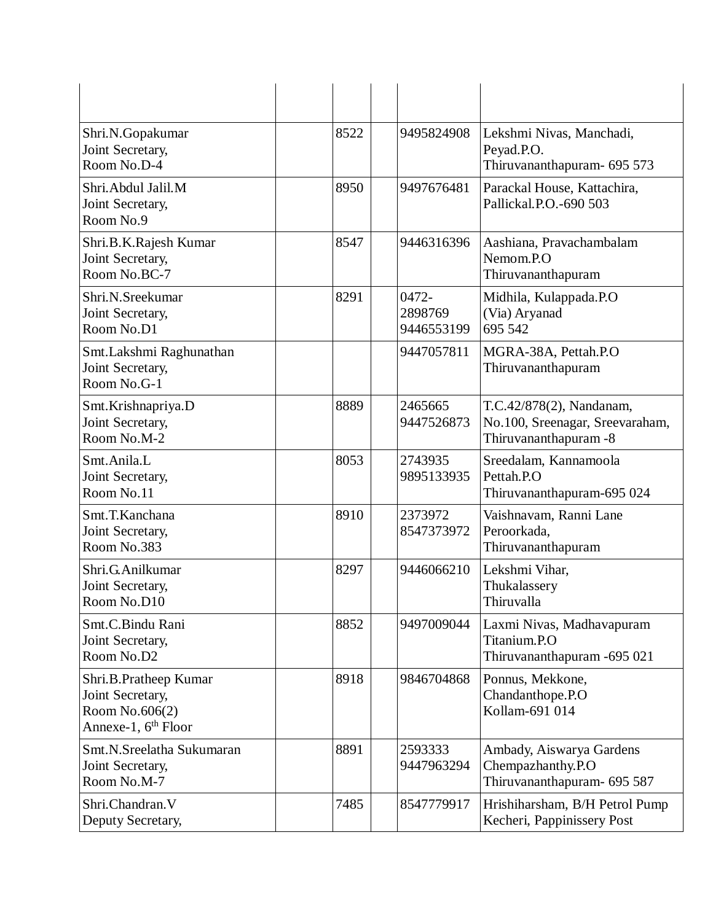| Shri.N.Gopakumar<br>Joint Secretary,<br>Room No.D-4                                            | 8522 | 9495824908                     | Lekshmi Nivas, Manchadi,<br>Peyad.P.O.<br>Thiruvananthapuram- 695 573                |
|------------------------------------------------------------------------------------------------|------|--------------------------------|--------------------------------------------------------------------------------------|
| Shri.Abdul Jalil.M<br>Joint Secretary,<br>Room No.9                                            | 8950 | 9497676481                     | Parackal House, Kattachira,<br>Pallickal.P.O.-690 503                                |
| Shri.B.K.Rajesh Kumar<br>Joint Secretary,<br>Room No.BC-7                                      | 8547 | 9446316396                     | Aashiana, Pravachambalam<br>Nemom.P.O<br>Thiruvananthapuram                          |
| Shri.N.Sreekumar<br>Joint Secretary,<br>Room No.D1                                             | 8291 | 0472-<br>2898769<br>9446553199 | Midhila, Kulappada.P.O<br>(Via) Aryanad<br>695 542                                   |
| Smt.Lakshmi Raghunathan<br>Joint Secretary,<br>Room No.G-1                                     |      | 9447057811                     | MGRA-38A, Pettah.P.O<br>Thiruvananthapuram                                           |
| Smt.Krishnapriya.D<br>Joint Secretary,<br>Room No.M-2                                          | 8889 | 2465665<br>9447526873          | T.C.42/878(2), Nandanam,<br>No.100, Sreenagar, Sreevaraham,<br>Thiruvananthapuram -8 |
| Smt.Anila.L<br>Joint Secretary,<br>Room No.11                                                  | 8053 | 2743935<br>9895133935          | Sreedalam, Kannamoola<br>Pettah.P.O<br>Thiruvananthapuram-695 024                    |
| Smt.T.Kanchana<br>Joint Secretary,<br>Room No.383                                              | 8910 | 2373972<br>8547373972          | Vaishnavam, Ranni Lane<br>Peroorkada,<br>Thiruvananthapuram                          |
| Shri.G.Anilkumar<br>Joint Secretary,<br>Room No.D10                                            | 8297 | 9446066210                     | Lekshmi Vihar,<br>Thukalassery<br>Thiruvalla                                         |
| Smt.C.Bindu Rani<br>Joint Secretary,<br>Room No.D2                                             | 8852 | 9497009044                     | Laxmi Nivas, Madhavapuram<br>Titanium.P.O<br>Thiruvananthapuram - 695 021            |
| Shri.B.Pratheep Kumar<br>Joint Secretary,<br>Room No.606(2)<br>Annexe-1, 6 <sup>th</sup> Floor | 8918 | 9846704868                     | Ponnus, Mekkone,<br>Chandanthope.P.O<br>Kollam-691 014                               |
| Smt.N.Sreelatha Sukumaran<br>Joint Secretary,<br>Room No.M-7                                   | 8891 | 2593333<br>9447963294          | Ambady, Aiswarya Gardens<br>Chempazhanthy.P.O<br>Thiruvananthapuram- 695 587         |
| Shri.Chandran.V<br>Deputy Secretary,                                                           | 7485 | 8547779917                     | Hrishiharsham, B/H Petrol Pump<br>Kecheri, Pappinissery Post                         |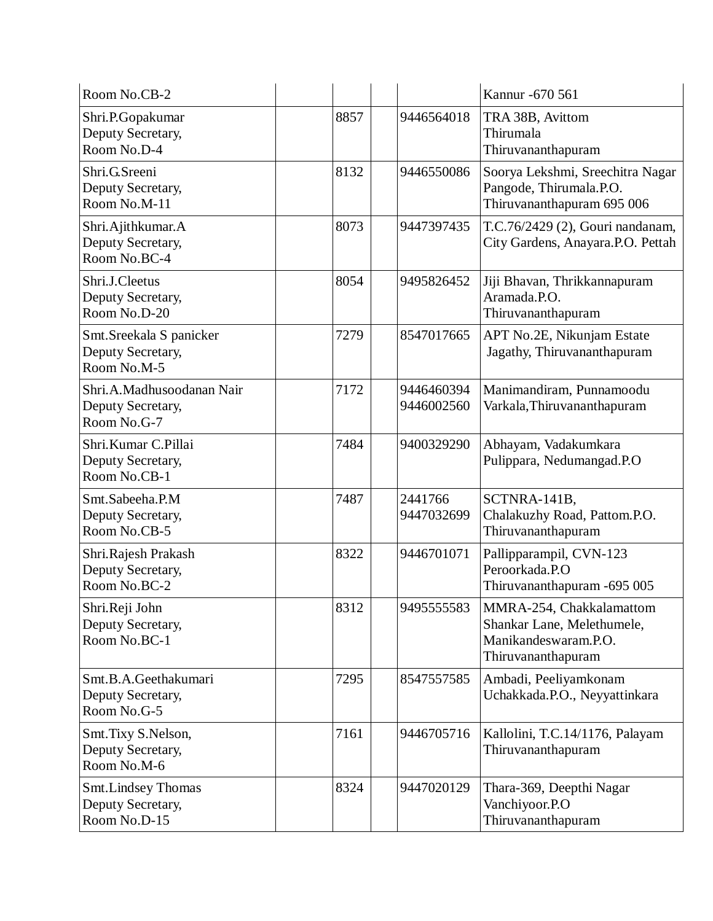| Room No.CB-2                                                  |      |                          | Kannur - 670 561                                                                                     |
|---------------------------------------------------------------|------|--------------------------|------------------------------------------------------------------------------------------------------|
| Shri.P.Gopakumar<br>Deputy Secretary,<br>Room No.D-4          | 8857 | 9446564018               | TRA 38B, Avittom<br>Thirumala<br>Thiruvananthapuram                                                  |
| Shri.G.Sreeni<br>Deputy Secretary,<br>Room No.M-11            | 8132 | 9446550086               | Soorya Lekshmi, Sreechitra Nagar<br>Pangode, Thirumala.P.O.<br>Thiruvananthapuram 695 006            |
| Shri.Ajithkumar.A<br>Deputy Secretary,<br>Room No.BC-4        | 8073 | 9447397435               | T.C.76/2429 (2), Gouri nandanam,<br>City Gardens, Anayara.P.O. Pettah                                |
| Shri.J.Cleetus<br>Deputy Secretary,<br>Room No.D-20           | 8054 | 9495826452               | Jiji Bhavan, Thrikkannapuram<br>Aramada.P.O.<br>Thiruvananthapuram                                   |
| Smt.Sreekala S panicker<br>Deputy Secretary,<br>Room No.M-5   | 7279 | 8547017665               | APT No.2E, Nikunjam Estate<br>Jagathy, Thiruvananthapuram                                            |
| Shri.A.Madhusoodanan Nair<br>Deputy Secretary,<br>Room No.G-7 | 7172 | 9446460394<br>9446002560 | Manimandiram, Punnamoodu<br>Varkala, Thiruvananthapuram                                              |
| Shri. Kumar C. Pillai<br>Deputy Secretary,<br>Room No.CB-1    | 7484 | 9400329290               | Abhayam, Vadakumkara<br>Pulippara, Nedumangad.P.O                                                    |
| Smt.Sabeeha.P.M<br>Deputy Secretary,<br>Room No.CB-5          | 7487 | 2441766<br>9447032699    | SCTNRA-141B,<br>Chalakuzhy Road, Pattom.P.O.<br>Thiruvananthapuram                                   |
| Shri.Rajesh Prakash<br>Deputy Secretary,<br>Room No.BC-2      | 8322 | 9446701071               | Pallipparampil, CVN-123<br>Peroorkada.P.O<br>Thiruvananthapuram -695 005                             |
| Shri.Reji John<br>Deputy Secretary,<br>Room No.BC-1           | 8312 | 9495555583               | MMRA-254, Chakkalamattom<br>Shankar Lane, Melethumele,<br>Manikandeswaram.P.O.<br>Thiruvananthapuram |
| Smt.B.A.Geethakumari<br>Deputy Secretary,<br>Room No.G-5      | 7295 | 8547557585               | Ambadi, Peeliyamkonam<br>Uchakkada.P.O., Neyyattinkara                                               |
| Smt.Tixy S.Nelson,<br>Deputy Secretary,<br>Room No.M-6        | 7161 | 9446705716               | Kallolini, T.C.14/1176, Palayam<br>Thiruvananthapuram                                                |
| Smt.Lindsey Thomas<br>Deputy Secretary,<br>Room No.D-15       | 8324 | 9447020129               | Thara-369, Deepthi Nagar<br>Vanchiyoor.P.O<br>Thiruvananthapuram                                     |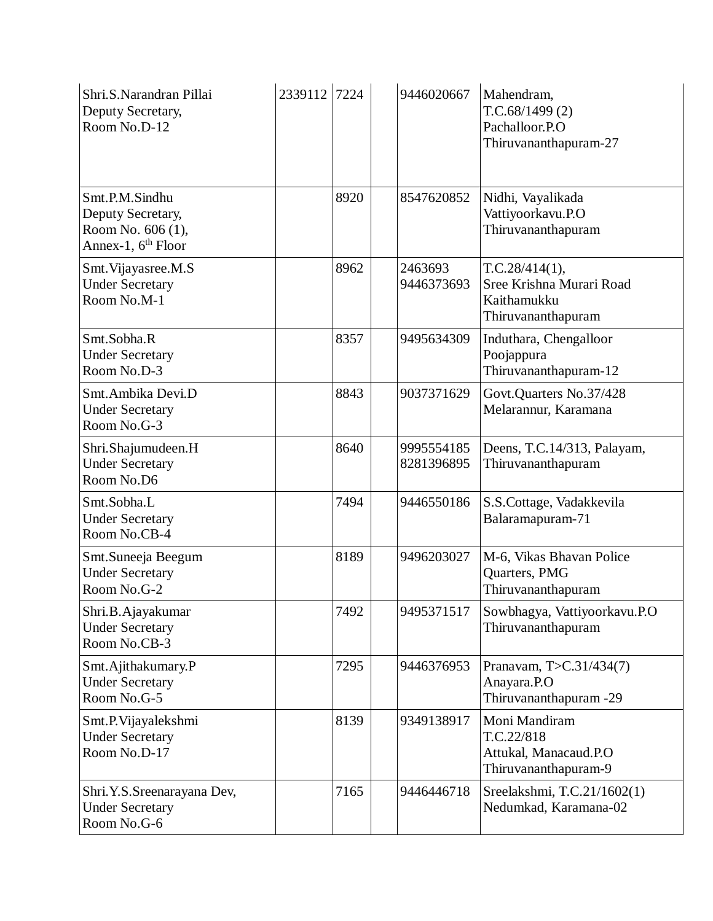| Shri.S.Narandran Pillai<br>Deputy Secretary,<br>Room No.D-12                               | 2339112 | 7224 | 9446020667               | Mahendram,<br>T.C.68/1499(2)<br>Pachalloor.P.O<br>Thiruvananthapuram-27         |
|--------------------------------------------------------------------------------------------|---------|------|--------------------------|---------------------------------------------------------------------------------|
| Smt.P.M.Sindhu<br>Deputy Secretary,<br>Room No. 606 (1),<br>Annex-1, 6 <sup>th</sup> Floor |         | 8920 | 8547620852               | Nidhi, Vayalikada<br>Vattiyoorkavu.P.O<br>Thiruvananthapuram                    |
| Smt. Vijayasree.M.S<br><b>Under Secretary</b><br>Room No.M-1                               |         | 8962 | 2463693<br>9446373693    | T.C.28/414(1),<br>Sree Krishna Murari Road<br>Kaithamukku<br>Thiruvananthapuram |
| Smt.Sobha.R<br><b>Under Secretary</b><br>Room No.D-3                                       |         | 8357 | 9495634309               | Induthara, Chengalloor<br>Poojappura<br>Thiruvananthapuram-12                   |
| Smt.Ambika Devi.D<br><b>Under Secretary</b><br>Room No.G-3                                 |         | 8843 | 9037371629               | Govt.Quarters No.37/428<br>Melarannur, Karamana                                 |
| Shri.Shajumudeen.H<br><b>Under Secretary</b><br>Room No.D6                                 |         | 8640 | 9995554185<br>8281396895 | Deens, T.C.14/313, Palayam,<br>Thiruvananthapuram                               |
| Smt.Sobha.L<br><b>Under Secretary</b><br>Room No.CB-4                                      |         | 7494 | 9446550186               | S.S.Cottage, Vadakkevila<br>Balaramapuram-71                                    |
| Smt.Suneeja Beegum<br><b>Under Secretary</b><br>Room No.G-2                                |         | 8189 | 9496203027               | M-6, Vikas Bhavan Police<br>Quarters, PMG<br>Thiruvananthapuram                 |
| Shri.B.Ajayakumar<br><b>Under Secretary</b><br>Room No.CB-3                                |         | 7492 | 9495371517               | Sowbhagya, Vattiyoorkavu.P.O<br>Thiruvananthapuram                              |
| Smt.Ajithakumary.P<br><b>Under Secretary</b><br>Room No.G-5                                |         | 7295 | 9446376953               | Pranavam, T>C.31/434(7)<br>Anayara.P.O<br>Thiruvananthapuram -29                |
| Smt.P.Vijayalekshmi<br><b>Under Secretary</b><br>Room No.D-17                              |         | 8139 | 9349138917               | Moni Mandiram<br>T.C.22/818<br>Attukal, Manacaud.P.O<br>Thiruvananthapuram-9    |
| Shri.Y.S.Sreenarayana Dev,<br><b>Under Secretary</b><br>Room No.G-6                        |         | 7165 | 9446446718               | Sreelakshmi, T.C.21/1602(1)<br>Nedumkad, Karamana-02                            |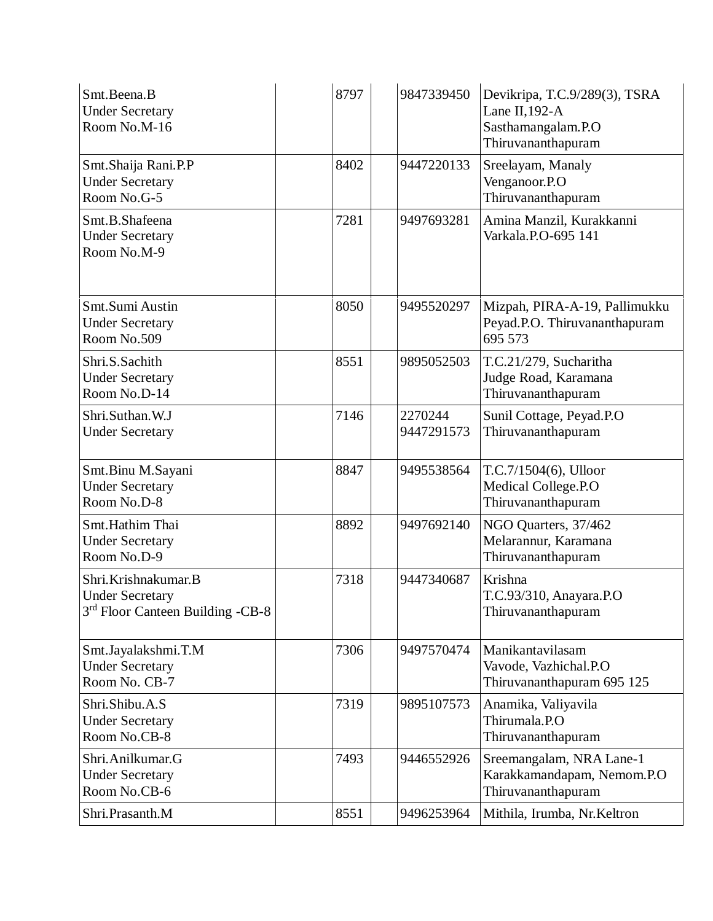| Smt.Beena.B<br><b>Under Secretary</b><br>Room No.M-16                                         | 8797 | 9847339450            | Devikripa, T.C.9/289(3), TSRA<br>Lane II, $192-A$<br>Sasthamangalam.P.O<br>Thiruvananthapuram |
|-----------------------------------------------------------------------------------------------|------|-----------------------|-----------------------------------------------------------------------------------------------|
| Smt.Shaija Rani.P.P<br><b>Under Secretary</b><br>Room No.G-5                                  | 8402 | 9447220133            | Sreelayam, Manaly<br>Venganoor.P.O<br>Thiruvananthapuram                                      |
| Smt.B.Shafeena<br><b>Under Secretary</b><br>Room No.M-9                                       | 7281 | 9497693281            | Amina Manzil, Kurakkanni<br>Varkala.P.O-695 141                                               |
| Smt.Sumi Austin<br><b>Under Secretary</b><br>Room No.509                                      | 8050 | 9495520297            | Mizpah, PIRA-A-19, Pallimukku<br>Peyad.P.O. Thiruvananthapuram<br>695 573                     |
| Shri.S.Sachith<br><b>Under Secretary</b><br>Room No.D-14                                      | 8551 | 9895052503            | T.C.21/279, Sucharitha<br>Judge Road, Karamana<br>Thiruvananthapuram                          |
| Shri.Suthan.W.J<br><b>Under Secretary</b>                                                     | 7146 | 2270244<br>9447291573 | Sunil Cottage, Peyad.P.O<br>Thiruvananthapuram                                                |
| Smt.Binu M.Sayani<br><b>Under Secretary</b><br>Room No.D-8                                    | 8847 | 9495538564            | T.C.7/1504(6), Ulloor<br>Medical College.P.O<br>Thiruvananthapuram                            |
| Smt.Hathim Thai<br><b>Under Secretary</b><br>Room No.D-9                                      | 8892 | 9497692140            | NGO Quarters, 37/462<br>Melarannur, Karamana<br>Thiruvananthapuram                            |
| Shri.Krishnakumar.B<br><b>Under Secretary</b><br>3 <sup>rd</sup> Floor Canteen Building -CB-8 | 7318 | 9447340687            | Krishna<br>T.C.93/310, Anayara.P.O<br>Thiruvananthapuram                                      |
| Smt.Jayalakshmi.T.M<br><b>Under Secretary</b><br>Room No. CB-7                                | 7306 | 9497570474            | Manikantavilasam<br>Vavode, Vazhichal.P.O<br>Thiruvananthapuram 695 125                       |
| Shri.Shibu.A.S<br><b>Under Secretary</b><br>Room No.CB-8                                      | 7319 | 9895107573            | Anamika, Valiyavila<br>Thirumala.P.O<br>Thiruvananthapuram                                    |
| Shri.Anilkumar.G<br><b>Under Secretary</b><br>Room No.CB-6                                    | 7493 | 9446552926            | Sreemangalam, NRA Lane-1<br>Karakkamandapam, Nemom.P.O<br>Thiruvananthapuram                  |
| Shri.Prasanth.M                                                                               | 8551 | 9496253964            | Mithila, Irumba, Nr.Keltron                                                                   |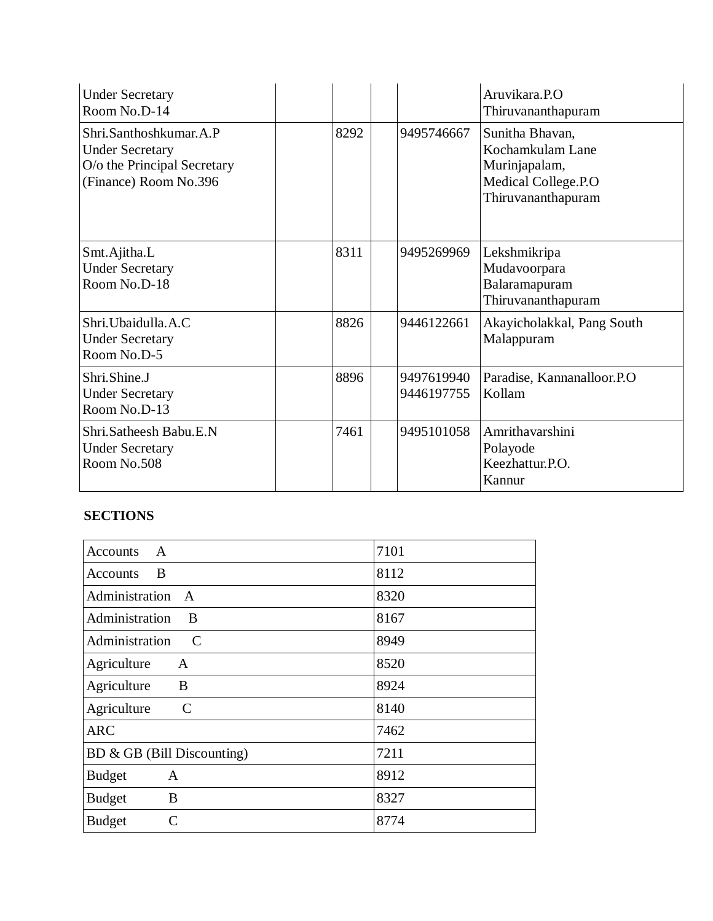| <b>Under Secretary</b><br>Room No.D-14                                                                   |      |                          | Aruvikara.P.O<br>Thiruvananthapuram                                                               |
|----------------------------------------------------------------------------------------------------------|------|--------------------------|---------------------------------------------------------------------------------------------------|
| Shri.Santhoshkumar.A.P<br><b>Under Secretary</b><br>O/o the Principal Secretary<br>(Finance) Room No.396 | 8292 | 9495746667               | Sunitha Bhavan,<br>Kochamkulam Lane<br>Murinjapalam,<br>Medical College.P.O<br>Thiruvananthapuram |
| Smt.Ajitha.L<br><b>Under Secretary</b><br>Room No.D-18                                                   | 8311 | 9495269969               | Lekshmikripa<br>Mudavoorpara<br>Balaramapuram<br>Thiruvananthapuram                               |
| Shri. Ubaidulla. A.C<br><b>Under Secretary</b><br>Room No.D-5                                            | 8826 | 9446122661               | Akayicholakkal, Pang South<br>Malappuram                                                          |
| Shri.Shine.J<br><b>Under Secretary</b><br>Room No.D-13                                                   | 8896 | 9497619940<br>9446197755 | Paradise, Kannanalloor.P.O.<br>Kollam                                                             |
| Shri.Satheesh Babu.E.N<br><b>Under Secretary</b><br>Room No.508                                          | 7461 | 9495101058               | Amrithavarshini<br>Polayode<br>Keezhattur.P.O.<br>Kannur                                          |

## **SECTIONS**

| $\mathsf{A}$<br><b>Accounts</b>              | 7101 |
|----------------------------------------------|------|
| B<br>Accounts                                | 8112 |
| Administration<br>$\mathbf{A}$               | 8320 |
| Administration<br>B                          | 8167 |
| Administration<br>C                          | 8949 |
| Agriculture<br>A                             | 8520 |
| Agriculture<br>B                             | 8924 |
| Agriculture<br>$\mathcal{C}$                 | 8140 |
| <b>ARC</b>                                   | 7462 |
| BD & GB (Bill Discounting)                   | 7211 |
| <b>Budget</b><br>$\mathbf{A}$                | 8912 |
| <b>Budget</b><br>B                           | 8327 |
| $\mathcal{C}_{\mathcal{C}}$<br><b>Budget</b> | 8774 |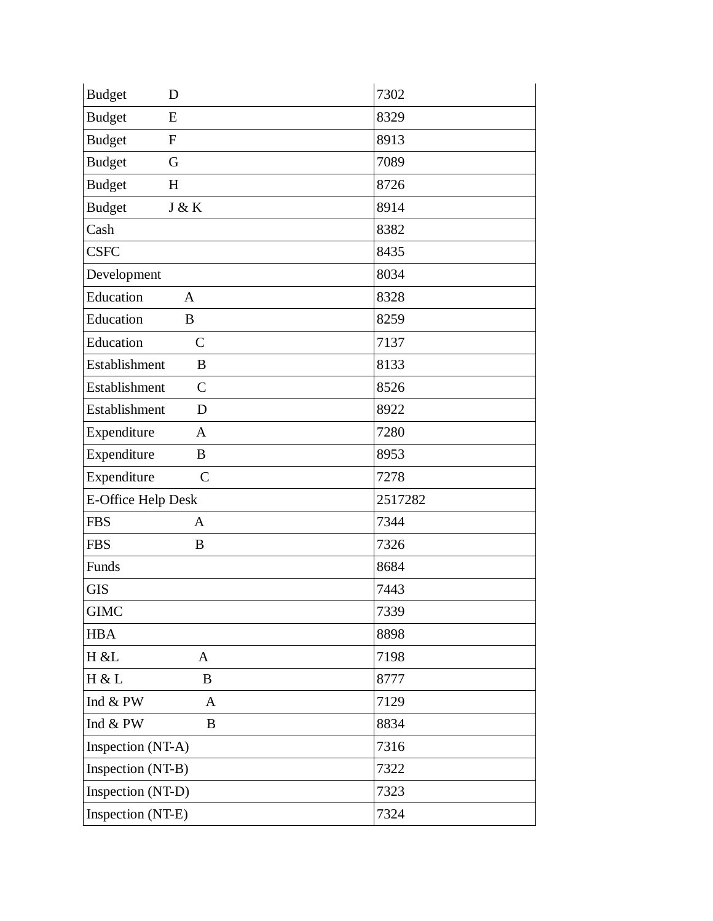| <b>Budget</b><br>D              | 7302    |
|---------------------------------|---------|
| <b>Budget</b><br>E              | 8329    |
| <b>Budget</b><br>${\bf F}$      | 8913    |
| <b>Budget</b><br>G              | 7089    |
| <b>Budget</b><br>H              | 8726    |
| <b>Budget</b><br>J & K          | 8914    |
| Cash                            | 8382    |
| <b>CSFC</b>                     | 8435    |
| Development                     | 8034    |
| Education<br>A                  | 8328    |
| Education<br>$\bf{B}$           | 8259    |
| Education<br>$\mathsf{C}$       | 7137    |
| Establishment<br>B              | 8133    |
| Establishment<br>$\overline{C}$ | 8526    |
| Establishment<br>D              | 8922    |
| Expenditure<br>$\mathbf{A}$     | 7280    |
| Expenditure<br>B                | 8953    |
| Expenditure<br>$\mathsf{C}$     | 7278    |
| <b>E-Office Help Desk</b>       | 2517282 |
| <b>FBS</b><br>$\mathbf{A}$      | 7344    |
| <b>FBS</b><br>B                 | 7326    |
| Funds                           | 8684    |
| <b>GIS</b>                      | 7443    |
| <b>GIMC</b>                     | 7339    |
| <b>HBA</b>                      | 8898    |
| H & L<br>$\mathbf{A}$           | 7198    |
| H & L<br>B                      | 8777    |
| Ind $&$ PW<br>$\mathbf{A}$      | 7129    |
| Ind & PW<br>$\bf{B}$            | 8834    |
| Inspection (NT-A)               | 7316    |
| Inspection (NT-B)               | 7322    |
| Inspection (NT-D)               | 7323    |
| Inspection (NT-E)               | 7324    |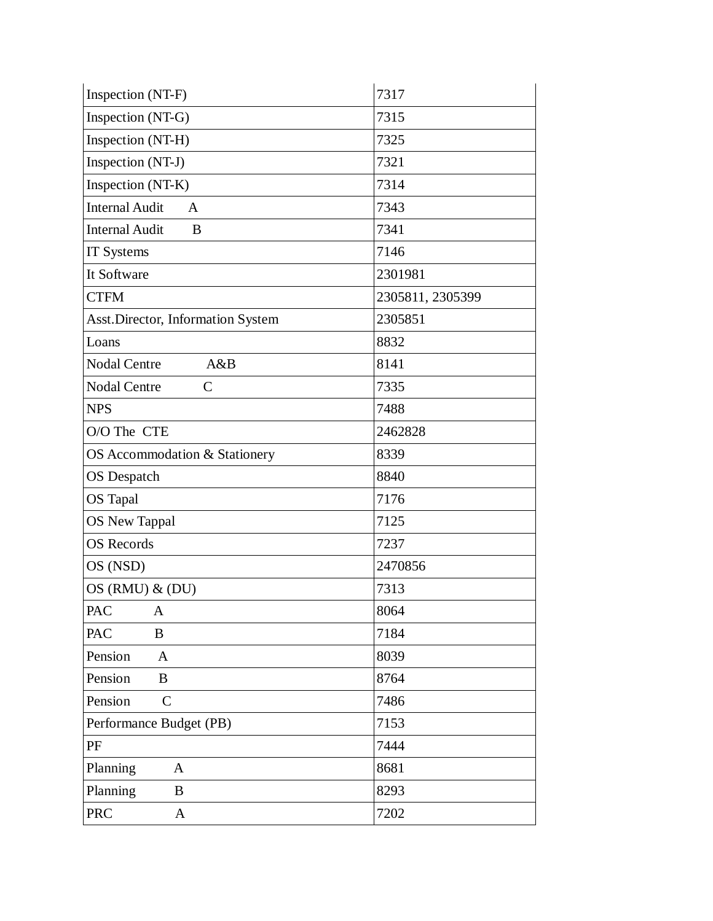| Inspection (NT-F)                     | 7317             |
|---------------------------------------|------------------|
| Inspection (NT-G)                     | 7315             |
| Inspection (NT-H)                     | 7325             |
| Inspection (NT-J)                     | 7321             |
| Inspection (NT-K)                     | 7314             |
| <b>Internal Audit</b><br>$\mathbf{A}$ | 7343             |
| <b>Internal Audit</b><br>B            | 7341             |
| IT Systems                            | 7146             |
| It Software                           | 2301981          |
| <b>CTFM</b>                           | 2305811, 2305399 |
| Asst.Director, Information System     | 2305851          |
| Loans                                 | 8832             |
| <b>Nodal Centre</b><br>A&B            | 8141             |
| <b>Nodal Centre</b><br>$\mathsf{C}$   | 7335             |
| <b>NPS</b>                            | 7488             |
| O/O The CTE                           | 2462828          |
| OS Accommodation & Stationery         | 8339             |
| <b>OS</b> Despatch                    | 8840             |
| <b>OS</b> Tapal                       | 7176             |
| <b>OS New Tappal</b>                  | 7125             |
| <b>OS</b> Records                     | 7237             |
| OS (NSD)                              | 2470856          |
| $OS(RMU)$ & $(DU)$                    | 7313             |
| PAC<br>$\mathbf{A}$                   | 8064             |
| PAC<br>$\, {\bf B}$                   | 7184             |
| Pension<br>$\mathbf{A}$               | 8039             |
| Pension<br>$\bf{B}$                   | 8764             |
| Pension<br>$\mathsf{C}$               | 7486             |
| Performance Budget (PB)               | 7153             |
| PF                                    | 7444             |
| Planning<br>$\mathbf{A}$              | 8681             |
| Planning<br>B                         | 8293             |
| <b>PRC</b><br>$\mathbf{A}$            | 7202             |